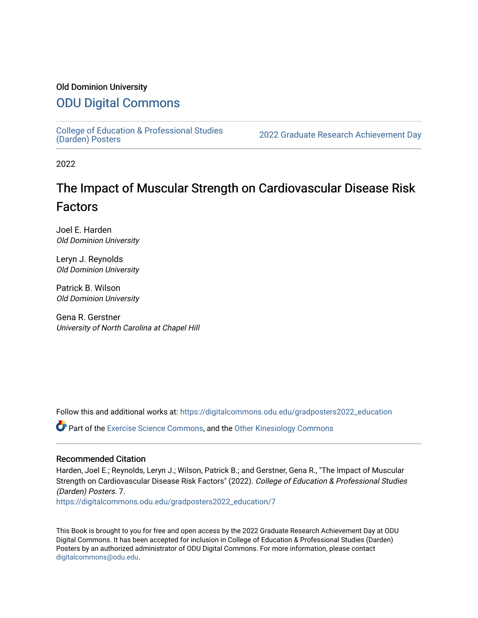### Old Dominion University

### [ODU Digital Commons](https://digitalcommons.odu.edu/)

College of Education & Professional Studies<br>(Darden) Posters

2022 Graduate Research Achievement Day

2022

# The Impact of Muscular Strength on Cardiovascular Disease Risk Factors

Joel E. Harden Old Dominion University

Leryn J. Reynolds Old Dominion University

Patrick B. Wilson Old Dominion University

Gena R. Gerstner University of North Carolina at Chapel Hill

Follow this and additional works at: [https://digitalcommons.odu.edu/gradposters2022\\_education](https://digitalcommons.odu.edu/gradposters2022_education?utm_source=digitalcommons.odu.edu%2Fgradposters2022_education%2F7&utm_medium=PDF&utm_campaign=PDFCoverPages)

Part of the [Exercise Science Commons](http://network.bepress.com/hgg/discipline/1091?utm_source=digitalcommons.odu.edu%2Fgradposters2022_education%2F7&utm_medium=PDF&utm_campaign=PDFCoverPages), and the [Other Kinesiology Commons](http://network.bepress.com/hgg/discipline/47?utm_source=digitalcommons.odu.edu%2Fgradposters2022_education%2F7&utm_medium=PDF&utm_campaign=PDFCoverPages)

#### Recommended Citation

Harden, Joel E.; Reynolds, Leryn J.; Wilson, Patrick B.; and Gerstner, Gena R., "The Impact of Muscular Strength on Cardiovascular Disease Risk Factors" (2022). College of Education & Professional Studies (Darden) Posters. 7.

[https://digitalcommons.odu.edu/gradposters2022\\_education/7](https://digitalcommons.odu.edu/gradposters2022_education/7?utm_source=digitalcommons.odu.edu%2Fgradposters2022_education%2F7&utm_medium=PDF&utm_campaign=PDFCoverPages)

This Book is brought to you for free and open access by the 2022 Graduate Research Achievement Day at ODU Digital Commons. It has been accepted for inclusion in College of Education & Professional Studies (Darden) Posters by an authorized administrator of ODU Digital Commons. For more information, please contact [digitalcommons@odu.edu](mailto:digitalcommons@odu.edu).